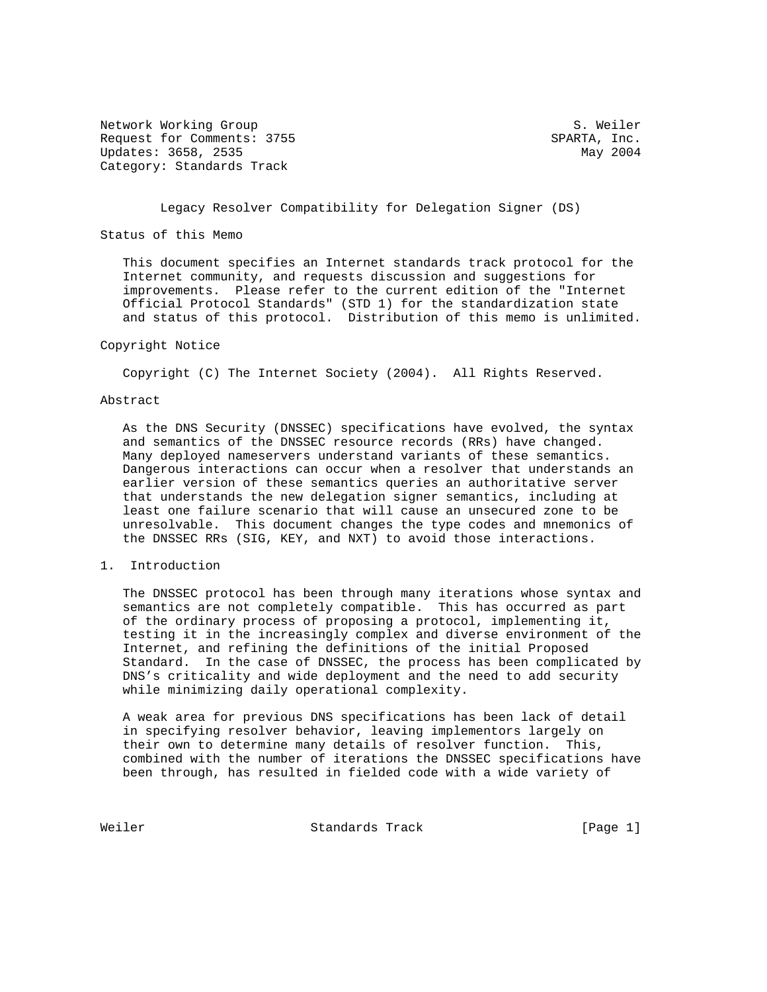Network Working Group S. Weiler Request for Comments: 3755 SPARTA, Inc. Updates: 3658, 2535 May 2004 Category: Standards Track

### Legacy Resolver Compatibility for Delegation Signer (DS)

Status of this Memo

 This document specifies an Internet standards track protocol for the Internet community, and requests discussion and suggestions for improvements. Please refer to the current edition of the "Internet Official Protocol Standards" (STD 1) for the standardization state and status of this protocol. Distribution of this memo is unlimited.

#### Copyright Notice

Copyright (C) The Internet Society (2004). All Rights Reserved.

## Abstract

 As the DNS Security (DNSSEC) specifications have evolved, the syntax and semantics of the DNSSEC resource records (RRs) have changed. Many deployed nameservers understand variants of these semantics. Dangerous interactions can occur when a resolver that understands an earlier version of these semantics queries an authoritative server that understands the new delegation signer semantics, including at least one failure scenario that will cause an unsecured zone to be unresolvable. This document changes the type codes and mnemonics of the DNSSEC RRs (SIG, KEY, and NXT) to avoid those interactions.

## 1. Introduction

 The DNSSEC protocol has been through many iterations whose syntax and semantics are not completely compatible. This has occurred as part of the ordinary process of proposing a protocol, implementing it, testing it in the increasingly complex and diverse environment of the Internet, and refining the definitions of the initial Proposed Standard. In the case of DNSSEC, the process has been complicated by DNS's criticality and wide deployment and the need to add security while minimizing daily operational complexity.

 A weak area for previous DNS specifications has been lack of detail in specifying resolver behavior, leaving implementors largely on their own to determine many details of resolver function. This, combined with the number of iterations the DNSSEC specifications have been through, has resulted in fielded code with a wide variety of

Weiler **Standards Track** [Page 1]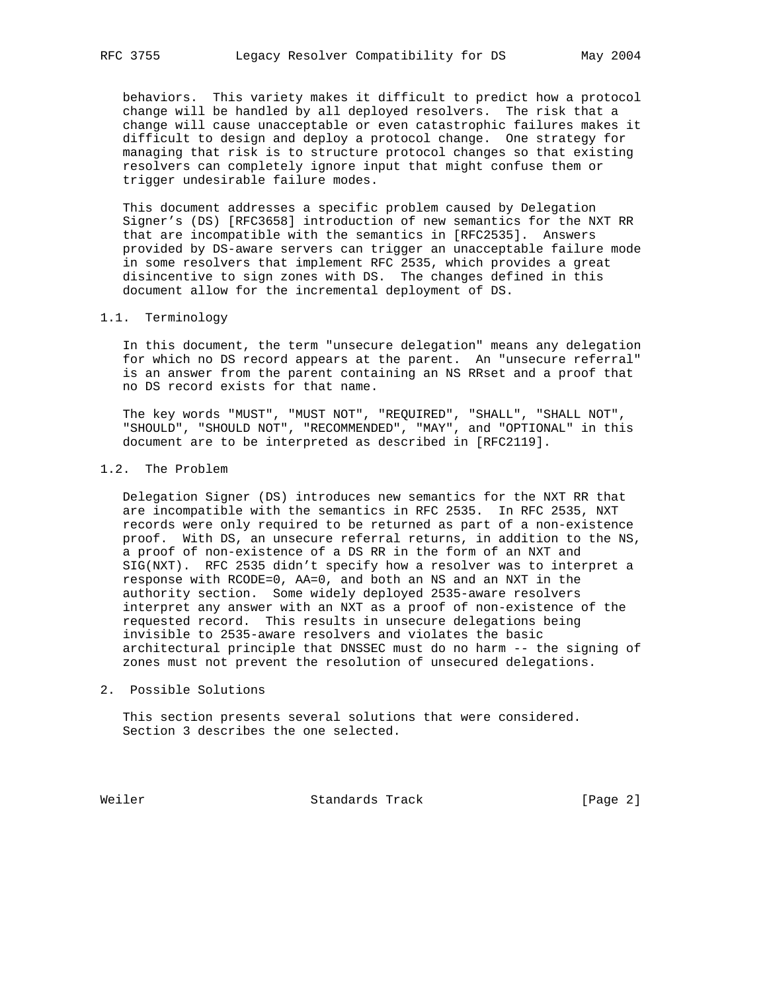behaviors. This variety makes it difficult to predict how a protocol change will be handled by all deployed resolvers. The risk that a change will cause unacceptable or even catastrophic failures makes it difficult to design and deploy a protocol change. One strategy for managing that risk is to structure protocol changes so that existing resolvers can completely ignore input that might confuse them or trigger undesirable failure modes.

 This document addresses a specific problem caused by Delegation Signer's (DS) [RFC3658] introduction of new semantics for the NXT RR that are incompatible with the semantics in [RFC2535]. Answers provided by DS-aware servers can trigger an unacceptable failure mode in some resolvers that implement RFC 2535, which provides a great disincentive to sign zones with DS. The changes defined in this document allow for the incremental deployment of DS.

### 1.1. Terminology

 In this document, the term "unsecure delegation" means any delegation for which no DS record appears at the parent. An "unsecure referral" is an answer from the parent containing an NS RRset and a proof that no DS record exists for that name.

 The key words "MUST", "MUST NOT", "REQUIRED", "SHALL", "SHALL NOT", "SHOULD", "SHOULD NOT", "RECOMMENDED", "MAY", and "OPTIONAL" in this document are to be interpreted as described in [RFC2119].

# 1.2. The Problem

 Delegation Signer (DS) introduces new semantics for the NXT RR that are incompatible with the semantics in RFC 2535. In RFC 2535, NXT records were only required to be returned as part of a non-existence proof. With DS, an unsecure referral returns, in addition to the NS, a proof of non-existence of a DS RR in the form of an NXT and SIG(NXT). RFC 2535 didn't specify how a resolver was to interpret a response with RCODE=0, AA=0, and both an NS and an NXT in the authority section. Some widely deployed 2535-aware resolvers interpret any answer with an NXT as a proof of non-existence of the requested record. This results in unsecure delegations being invisible to 2535-aware resolvers and violates the basic architectural principle that DNSSEC must do no harm -- the signing of zones must not prevent the resolution of unsecured delegations.

#### 2. Possible Solutions

 This section presents several solutions that were considered. Section 3 describes the one selected.

Weiler **Standards Track** [Page 2]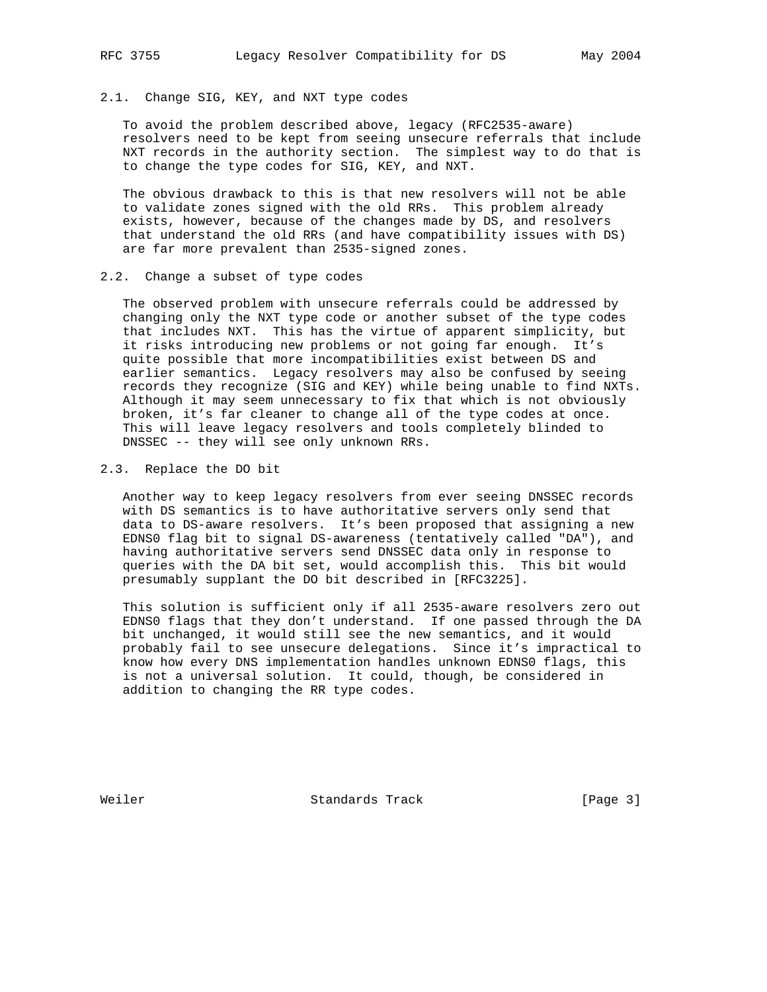# 2.1. Change SIG, KEY, and NXT type codes

 To avoid the problem described above, legacy (RFC2535-aware) resolvers need to be kept from seeing unsecure referrals that include NXT records in the authority section. The simplest way to do that is to change the type codes for SIG, KEY, and NXT.

 The obvious drawback to this is that new resolvers will not be able to validate zones signed with the old RRs. This problem already exists, however, because of the changes made by DS, and resolvers that understand the old RRs (and have compatibility issues with DS) are far more prevalent than 2535-signed zones.

## 2.2. Change a subset of type codes

 The observed problem with unsecure referrals could be addressed by changing only the NXT type code or another subset of the type codes that includes NXT. This has the virtue of apparent simplicity, but it risks introducing new problems or not going far enough. It's quite possible that more incompatibilities exist between DS and earlier semantics. Legacy resolvers may also be confused by seeing records they recognize (SIG and KEY) while being unable to find NXTs. Although it may seem unnecessary to fix that which is not obviously broken, it's far cleaner to change all of the type codes at once. This will leave legacy resolvers and tools completely blinded to DNSSEC -- they will see only unknown RRs.

### 2.3. Replace the DO bit

 Another way to keep legacy resolvers from ever seeing DNSSEC records with DS semantics is to have authoritative servers only send that data to DS-aware resolvers. It's been proposed that assigning a new EDNS0 flag bit to signal DS-awareness (tentatively called "DA"), and having authoritative servers send DNSSEC data only in response to queries with the DA bit set, would accomplish this. This bit would presumably supplant the DO bit described in [RFC3225].

 This solution is sufficient only if all 2535-aware resolvers zero out EDNS0 flags that they don't understand. If one passed through the DA bit unchanged, it would still see the new semantics, and it would probably fail to see unsecure delegations. Since it's impractical to know how every DNS implementation handles unknown EDNS0 flags, this is not a universal solution. It could, though, be considered in addition to changing the RR type codes.

Weiler **Standards Track** [Page 3]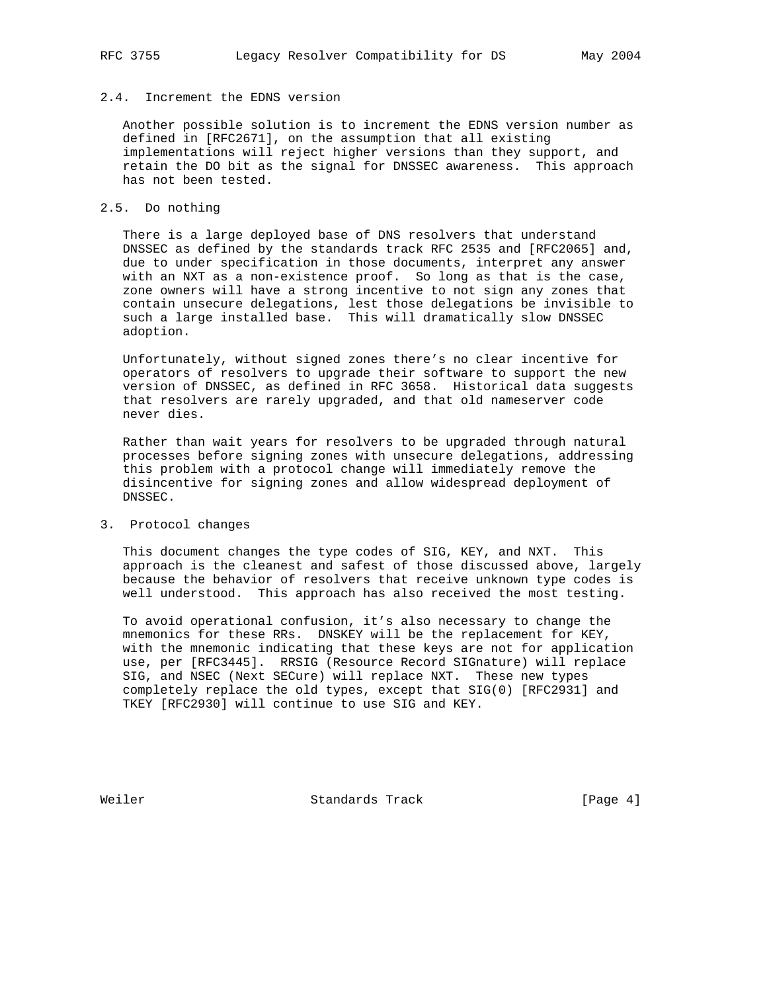Another possible solution is to increment the EDNS version number as defined in [RFC2671], on the assumption that all existing implementations will reject higher versions than they support, and retain the DO bit as the signal for DNSSEC awareness. This approach has not been tested.

# 2.5. Do nothing

 There is a large deployed base of DNS resolvers that understand DNSSEC as defined by the standards track RFC 2535 and [RFC2065] and, due to under specification in those documents, interpret any answer with an NXT as a non-existence proof. So long as that is the case, zone owners will have a strong incentive to not sign any zones that contain unsecure delegations, lest those delegations be invisible to such a large installed base. This will dramatically slow DNSSEC adoption.

 Unfortunately, without signed zones there's no clear incentive for operators of resolvers to upgrade their software to support the new version of DNSSEC, as defined in RFC 3658. Historical data suggests that resolvers are rarely upgraded, and that old nameserver code never dies.

 Rather than wait years for resolvers to be upgraded through natural processes before signing zones with unsecure delegations, addressing this problem with a protocol change will immediately remove the disincentive for signing zones and allow widespread deployment of DNSSEC.

3. Protocol changes

 This document changes the type codes of SIG, KEY, and NXT. This approach is the cleanest and safest of those discussed above, largely because the behavior of resolvers that receive unknown type codes is well understood. This approach has also received the most testing.

 To avoid operational confusion, it's also necessary to change the mnemonics for these RRs. DNSKEY will be the replacement for KEY, with the mnemonic indicating that these keys are not for application use, per [RFC3445]. RRSIG (Resource Record SIGnature) will replace SIG, and NSEC (Next SECure) will replace NXT. These new types completely replace the old types, except that SIG(0) [RFC2931] and TKEY [RFC2930] will continue to use SIG and KEY.

Weiler **Standards Track** [Page 4]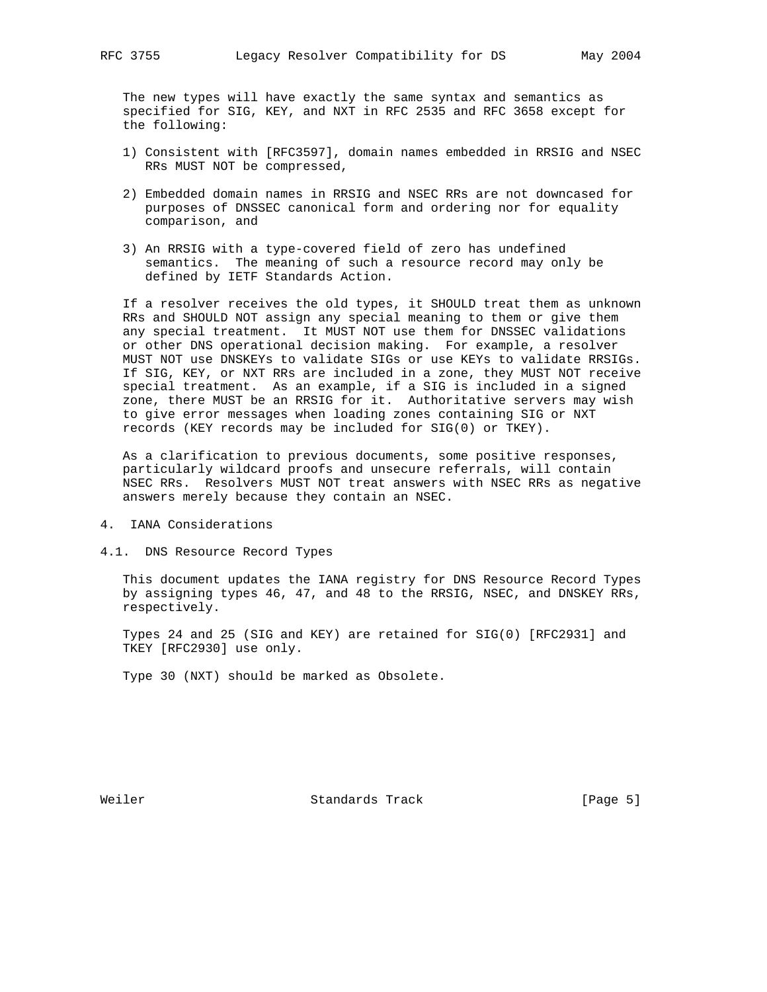The new types will have exactly the same syntax and semantics as specified for SIG, KEY, and NXT in RFC 2535 and RFC 3658 except for the following:

- 1) Consistent with [RFC3597], domain names embedded in RRSIG and NSEC RRs MUST NOT be compressed,
- 2) Embedded domain names in RRSIG and NSEC RRs are not downcased for purposes of DNSSEC canonical form and ordering nor for equality comparison, and
- 3) An RRSIG with a type-covered field of zero has undefined semantics. The meaning of such a resource record may only be defined by IETF Standards Action.

 If a resolver receives the old types, it SHOULD treat them as unknown RRs and SHOULD NOT assign any special meaning to them or give them any special treatment. It MUST NOT use them for DNSSEC validations or other DNS operational decision making. For example, a resolver MUST NOT use DNSKEYs to validate SIGs or use KEYs to validate RRSIGs. If SIG, KEY, or NXT RRs are included in a zone, they MUST NOT receive special treatment. As an example, if a SIG is included in a signed zone, there MUST be an RRSIG for it. Authoritative servers may wish to give error messages when loading zones containing SIG or NXT records (KEY records may be included for SIG(0) or TKEY).

 As a clarification to previous documents, some positive responses, particularly wildcard proofs and unsecure referrals, will contain NSEC RRs. Resolvers MUST NOT treat answers with NSEC RRs as negative answers merely because they contain an NSEC.

- 4. IANA Considerations
- 4.1. DNS Resource Record Types

 This document updates the IANA registry for DNS Resource Record Types by assigning types 46, 47, and 48 to the RRSIG, NSEC, and DNSKEY RRs, respectively.

 Types 24 and 25 (SIG and KEY) are retained for SIG(0) [RFC2931] and TKEY [RFC2930] use only.

Type 30 (NXT) should be marked as Obsolete.

Weiler **Standards Track** [Page 5]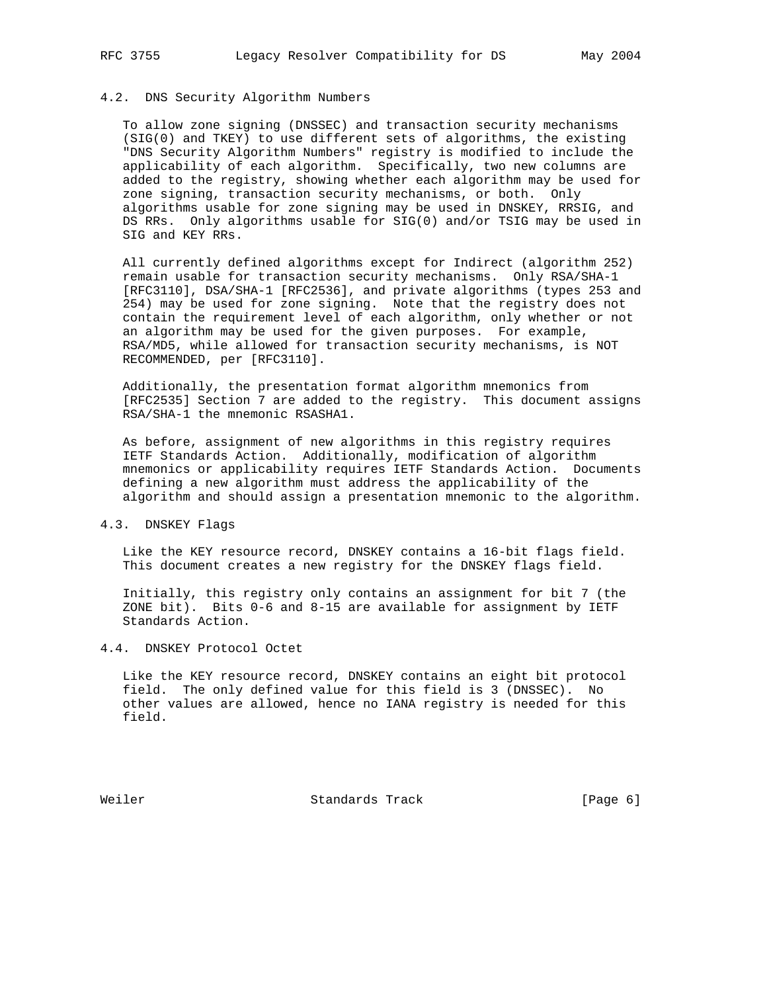## 4.2. DNS Security Algorithm Numbers

 To allow zone signing (DNSSEC) and transaction security mechanisms (SIG(0) and TKEY) to use different sets of algorithms, the existing "DNS Security Algorithm Numbers" registry is modified to include the applicability of each algorithm. Specifically, two new columns are added to the registry, showing whether each algorithm may be used for zone signing, transaction security mechanisms, or both. Only algorithms usable for zone signing may be used in DNSKEY, RRSIG, and DS RRs. Only algorithms usable for SIG(0) and/or TSIG may be used in SIG and KEY RRs.

 All currently defined algorithms except for Indirect (algorithm 252) remain usable for transaction security mechanisms. Only RSA/SHA-1 [RFC3110], DSA/SHA-1 [RFC2536], and private algorithms (types 253 and 254) may be used for zone signing. Note that the registry does not contain the requirement level of each algorithm, only whether or not an algorithm may be used for the given purposes. For example, RSA/MD5, while allowed for transaction security mechanisms, is NOT RECOMMENDED, per [RFC3110].

 Additionally, the presentation format algorithm mnemonics from [RFC2535] Section 7 are added to the registry. This document assigns RSA/SHA-1 the mnemonic RSASHA1.

 As before, assignment of new algorithms in this registry requires IETF Standards Action. Additionally, modification of algorithm mnemonics or applicability requires IETF Standards Action. Documents defining a new algorithm must address the applicability of the algorithm and should assign a presentation mnemonic to the algorithm.

# 4.3. DNSKEY Flags

 Like the KEY resource record, DNSKEY contains a 16-bit flags field. This document creates a new registry for the DNSKEY flags field.

 Initially, this registry only contains an assignment for bit 7 (the ZONE bit). Bits 0-6 and 8-15 are available for assignment by IETF Standards Action.

#### 4.4. DNSKEY Protocol Octet

 Like the KEY resource record, DNSKEY contains an eight bit protocol field. The only defined value for this field is 3 (DNSSEC). No other values are allowed, hence no IANA registry is needed for this field.

Weiler **Standards Track** [Page 6]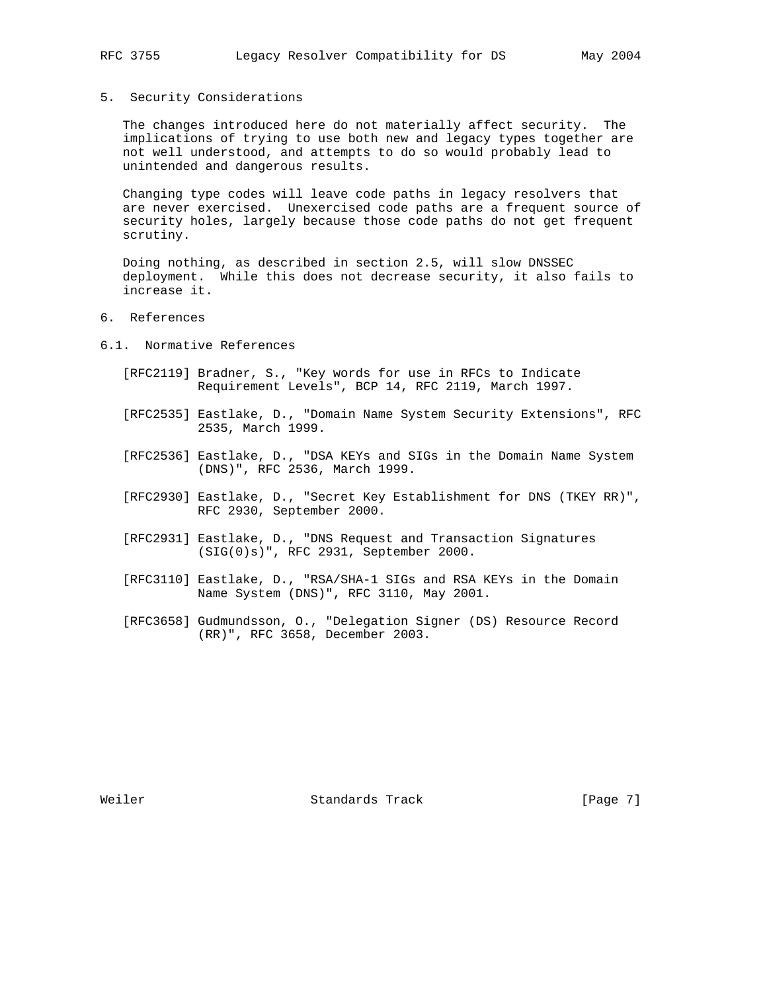### 5. Security Considerations

 The changes introduced here do not materially affect security. The implications of trying to use both new and legacy types together are not well understood, and attempts to do so would probably lead to unintended and dangerous results.

 Changing type codes will leave code paths in legacy resolvers that are never exercised. Unexercised code paths are a frequent source of security holes, largely because those code paths do not get frequent scrutiny.

 Doing nothing, as described in section 2.5, will slow DNSSEC deployment. While this does not decrease security, it also fails to increase it.

- 6. References
- 6.1. Normative References
	- [RFC2119] Bradner, S., "Key words for use in RFCs to Indicate Requirement Levels", BCP 14, RFC 2119, March 1997.
	- [RFC2535] Eastlake, D., "Domain Name System Security Extensions", RFC 2535, March 1999.
	- [RFC2536] Eastlake, D., "DSA KEYs and SIGs in the Domain Name System (DNS)", RFC 2536, March 1999.
	- [RFC2930] Eastlake, D., "Secret Key Establishment for DNS (TKEY RR)", RFC 2930, September 2000.
	- [RFC2931] Eastlake, D., "DNS Request and Transaction Signatures (SIG(0)s)", RFC 2931, September 2000.
	- [RFC3110] Eastlake, D., "RSA/SHA-1 SIGs and RSA KEYs in the Domain Name System (DNS)", RFC 3110, May 2001.
	- [RFC3658] Gudmundsson, O., "Delegation Signer (DS) Resource Record (RR)", RFC 3658, December 2003.

Weiler **Standards Track** [Page 7]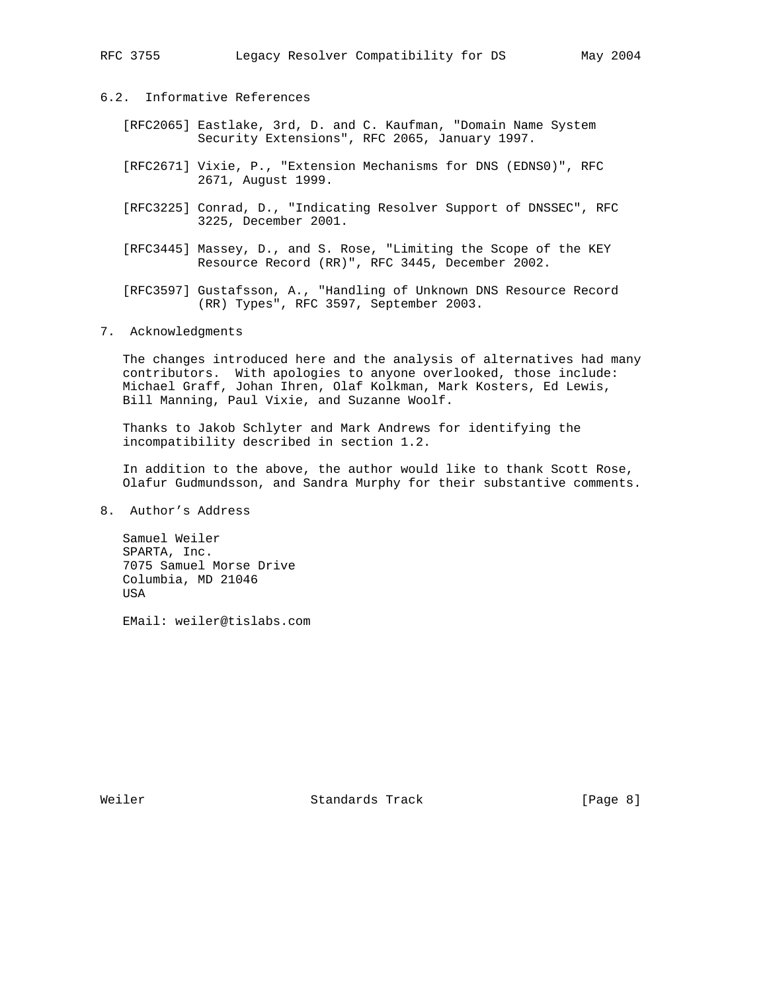- 6.2. Informative References
	- [RFC2065] Eastlake, 3rd, D. and C. Kaufman, "Domain Name System Security Extensions", RFC 2065, January 1997.
	- [RFC2671] Vixie, P., "Extension Mechanisms for DNS (EDNS0)", RFC 2671, August 1999.
	- [RFC3225] Conrad, D., "Indicating Resolver Support of DNSSEC", RFC 3225, December 2001.
	- [RFC3445] Massey, D., and S. Rose, "Limiting the Scope of the KEY Resource Record (RR)", RFC 3445, December 2002.
	- [RFC3597] Gustafsson, A., "Handling of Unknown DNS Resource Record (RR) Types", RFC 3597, September 2003.
- 7. Acknowledgments

 The changes introduced here and the analysis of alternatives had many contributors. With apologies to anyone overlooked, those include: Michael Graff, Johan Ihren, Olaf Kolkman, Mark Kosters, Ed Lewis, Bill Manning, Paul Vixie, and Suzanne Woolf.

 Thanks to Jakob Schlyter and Mark Andrews for identifying the incompatibility described in section 1.2.

 In addition to the above, the author would like to thank Scott Rose, Olafur Gudmundsson, and Sandra Murphy for their substantive comments.

8. Author's Address

 Samuel Weiler SPARTA, Inc. 7075 Samuel Morse Drive Columbia, MD 21046 USA

EMail: weiler@tislabs.com

Weiler **Standards Track** [Page 8]